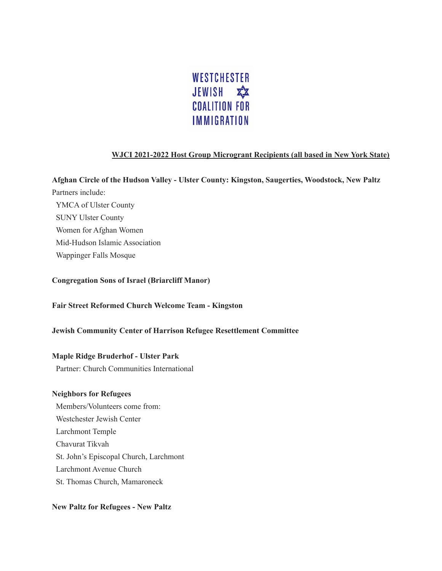

# **WJCI 2021-2022 Host Group Microgrant Recipients (all based in New York State)**

**Afghan Circle of the Hudson Valley - Ulster County: Kingston, Saugerties, Woodstock, New Paltz** Partners include: YMCA of Ulster County SUNY Ulster County Women for Afghan Women Mid-Hudson Islamic Association Wappinger Falls Mosque

# **Congregation Sons of Israel (Briarcliff Manor)**

**Fair Street Reformed Church Welcome Team - Kingston**

# **Jewish Community Center of Harrison Refugee Resettlement Committee**

#### **Maple Ridge Bruderhof - Ulster Park**

Partner: Church Communities International

#### **Neighbors for Refugees**

Members/Volunteers come from: Westchester Jewish Center Larchmont Temple Chavurat Tikvah St. John's Episcopal Church, Larchmont Larchmont Avenue Church St. Thomas Church, Mamaroneck

#### **New Paltz for Refugees - New Paltz**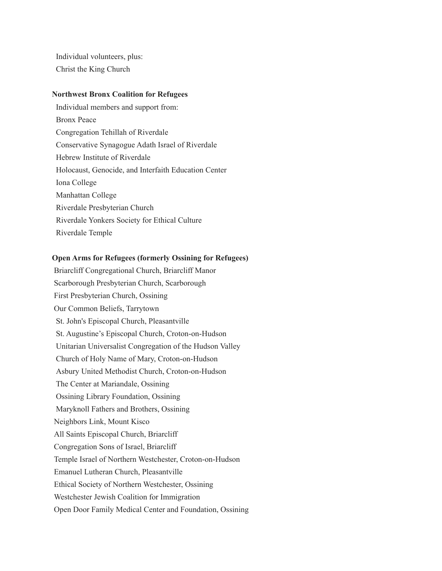Individual volunteers, plus: Christ the King Church

#### **Northwest Bronx Coalition for Refugees**

Individual members and support from: Bronx Peace Congregation Tehillah of Riverdale Conservative Synagogue Adath Israel of Riverdale Hebrew Institute of Riverdale Holocaust, Genocide, and Interfaith Education Center Iona College Manhattan College Riverdale Presbyterian Church Riverdale Yonkers Society for Ethical Culture Riverdale Temple

# **Open Arms for Refugees (formerly Ossining for Refugees)**

Briarcliff Congregational Church, Briarcliff Manor Scarborough Presbyterian Church, Scarborough First Presbyterian Church, Ossining Our Common Beliefs, Tarrytown St. John's Episcopal Church, Pleasantville St. Augustine's Episcopal Church, Croton-on-Hudson Unitarian Universalist Congregation of the Hudson Valley Church of Holy Name of Mary, Croton-on-Hudson Asbury United Methodist Church, Croton-on-Hudson The Center at Mariandale, Ossining Ossining Library Foundation, Ossining Maryknoll Fathers and Brothers, Ossining Neighbors Link, Mount Kisco All Saints Episcopal Church, Briarcliff Congregation Sons of Israel, Briarcliff Temple Israel of Northern Westchester, Croton-on-Hudson Emanuel Lutheran Church, Pleasantville Ethical Society of Northern Westchester, Ossining Westchester Jewish Coalition for Immigration Open Door Family Medical Center and Foundation, Ossining